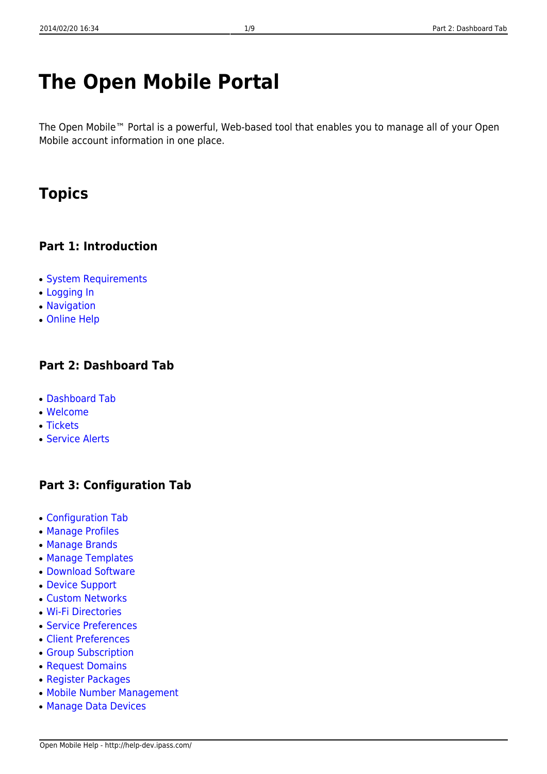# **The Open Mobile Portal**

The Open Mobile™ Portal is a powerful, Web-based tool that enables you to manage all of your Open Mobile account information in one place.

## **Topics**

### **Part 1: Introduction**

- System Requirements
- Logging In
- Navigation
- Online Help

### **Part 2: Dashboard Tab**

- Dashboard Tab
- Welcome
- Tickets
- Service Alerts

### **Part 3: Configuration Tab**

- Configuration Tab
- Manage Profiles
- Manage Brands
- Manage Templates
- Download Software
- Device Support
- Custom Networks
- Wi-Fi Directories
- Service Preferences
- Client Preferences
- Group Subscription
- Request Domains
- Register Packages
- Mobile Number Management
- Manage Data Devices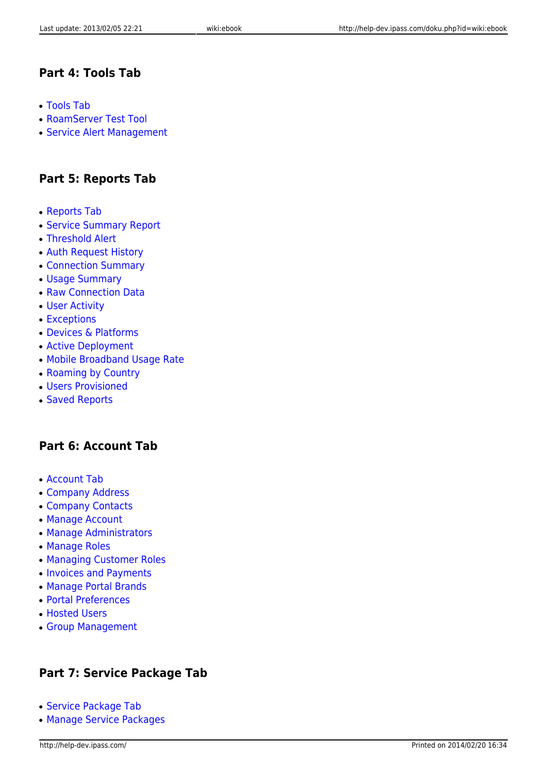### **Part 4: Tools Tab**

- Tools Tab
- RoamServer Test Tool
- Service Alert Management

### **Part 5: Reports Tab**

- Reports Tab
- Service Summary Report
- Threshold Alert
- Auth Request History
- Connection Summary
- Usage Summary
- Raw Connection Data
- User Activity
- Exceptions
- Devices & Platforms
- Active Deployment
- Mobile Broadband Usage Rate
- Roaming by Country
- Users Provisioned
- Saved Reports

### **Part 6: Account Tab**

- Account Tab
- Company Address
- Company Contacts
- Manage Account
- Manage Administrators
- Manage Roles
- Managing Customer Roles
- Invoices and Payments
- Manage Portal Brands
- Portal Preferences
- Hosted Users
- Group Management

### **Part 7: Service Package Tab**

- Service Package Tab
- Manage Service Packages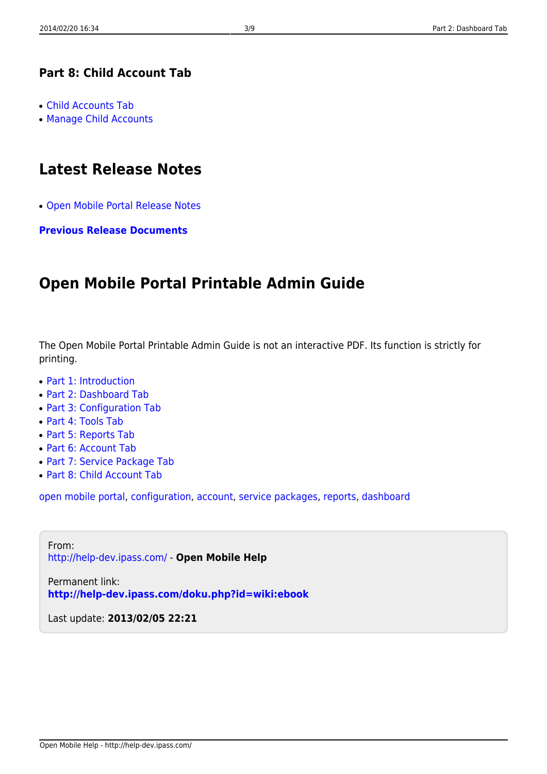### **Part 8: Child Account Tab**

- Child Accounts Tab
- Manage Child Accounts

## **Latest Release Notes**

● Open Mobile Portal Release Notes

**Previous Release Documents**

## **Open Mobile Portal Printable Admin Guide**

The Open Mobile Portal Printable Admin Guide is not an interactive PDF. Its function is strictly for printing.

- Part 1: Introduction
- Part 2: Dashboard Tab
- Part 3: Configuration Tab
- Part 4: Tools Tab
- Part 5: Reports Tab
- Part 6: Account Tab
- Part 7: Service Package Tab
- Part 8: Child Account Tab

open mobile portal, configuration, account, service packages, reports, dashboard

From: http://help-dev.ipass.com/ - **Open Mobile Help**

Permanent link: **http://help-dev.ipass.com/doku.php?id=wiki:ebook**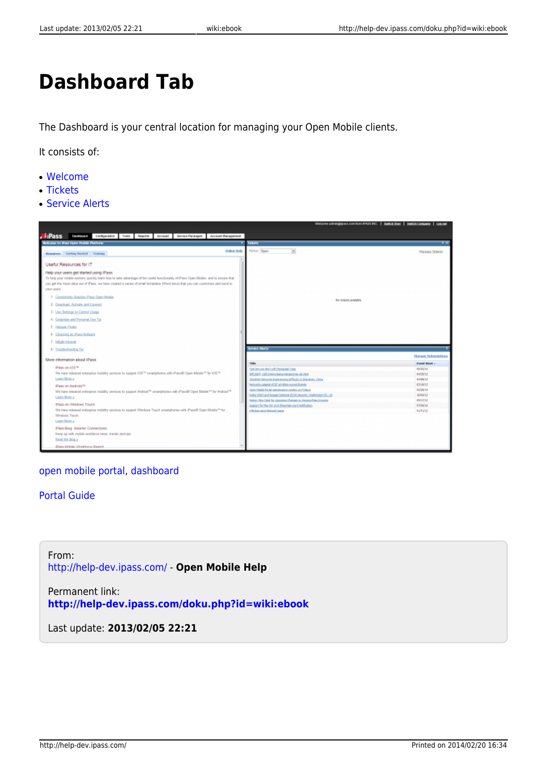# **Dashboard Tab**

The Dashboard is your central location for managing your Open Mobile clients.

It consists of:

- Welcome
- Tickets
- Service Alerts



#### open mobile portal, dashboard

#### Portal Guide

From: http://help-dev.ipass.com/ - **Open Mobile Help**

Permanent link: **http://help-dev.ipass.com/doku.php?id=wiki:ebook**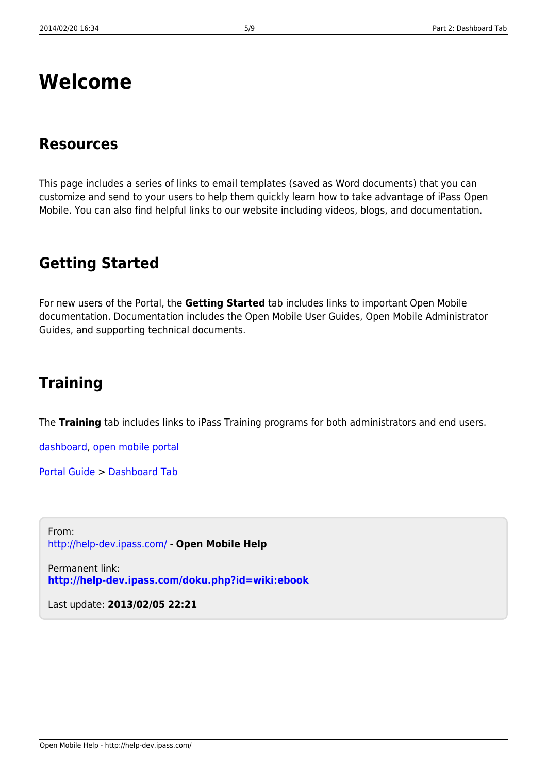## **Welcome**

## **Resources**

This page includes a series of links to email templates (saved as Word documents) that you can customize and send to your users to help them quickly learn how to take advantage of iPass Open Mobile. You can also find helpful links to our website including videos, blogs, and documentation.

## **Getting Started**

For new users of the Portal, the **Getting Started** tab includes links to important Open Mobile documentation. Documentation includes the Open Mobile User Guides, Open Mobile Administrator Guides, and supporting technical documents.

## **Training**

The **Training** tab includes links to iPass Training programs for both administrators and end users.

dashboard, open mobile portal

Portal Guide > Dashboard Tab

From: http://help-dev.ipass.com/ - **Open Mobile Help**

Permanent link: **http://help-dev.ipass.com/doku.php?id=wiki:ebook**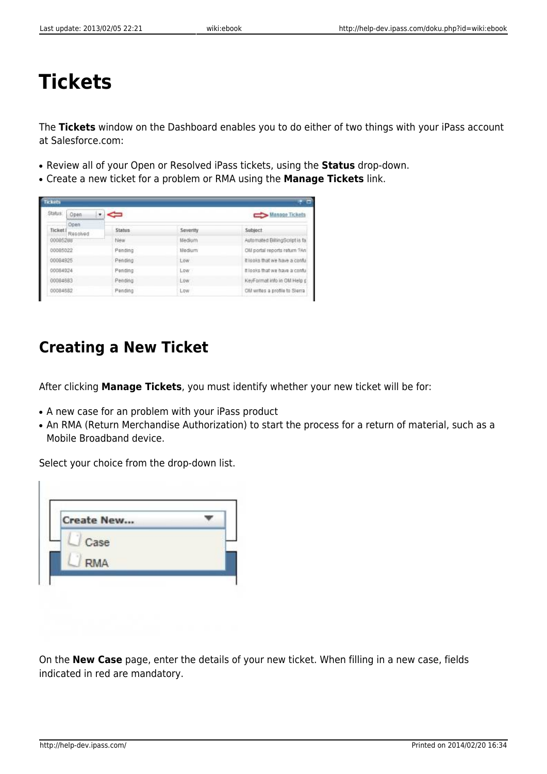# **Tickets**

The **Tickets** window on the Dashboard enables you to do either of two things with your iPass account at Salesforce.com:

- Review all of your Open or Resolved iPass tickets, using the **Status** drop-down.
- Create a new ticket for a problem or RMA using the **Manage Tickets** link.

| <b>Ticket</b><br>е |                   |               |                |                                 |  |  |  |
|--------------------|-------------------|---------------|----------------|---------------------------------|--|--|--|
| Status:            | Open              |               | Manage Tickets |                                 |  |  |  |
| <b>Ticket [</b>    | Open.<br>Resolved | <b>Status</b> | Severity       | Subject                         |  |  |  |
| 00085288           |                   | New           | Medium         | Automated BillingScript is fa.  |  |  |  |
| 00085022           |                   | Pending       | Medium         | OM portal reports return 7An    |  |  |  |
| 00084925           |                   | Pending       | Low            | It looks that we have a conful  |  |  |  |
| 00084924           |                   | Pending       | Low:           | It looks that we have a conful  |  |  |  |
| 00084683           |                   | Pending       | Low            | KeyFormat info in OM Help p     |  |  |  |
| 00084582           |                   | Pending       | Low            | Of I writes a profile to Sierra |  |  |  |

## **Creating a New Ticket**

After clicking **Manage Tickets**, you must identify whether your new ticket will be for:

- A new case for an problem with your iPass product
- An RMA (Return Merchandise Authorization) to start the process for a return of material, such as a Mobile Broadband device.

Select your choice from the drop-down list.

| <b>Create New</b> |  |
|-------------------|--|
| Case              |  |
| <b>RMA</b>        |  |

On the **New Case** page, enter the details of your new ticket. When filling in a new case, fields indicated in red are mandatory.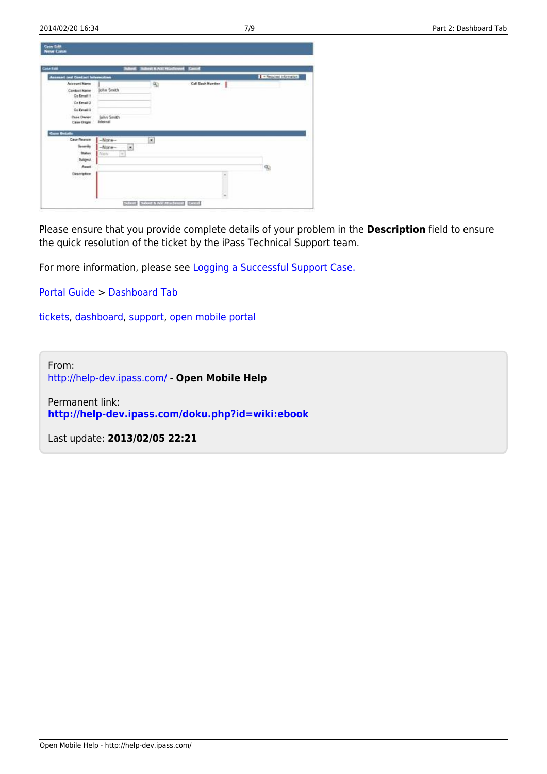| <b>Case Edit</b>                        | ţ               | <b>Billion &amp; Add Attachment</b> Cannel |                  |                         |
|-----------------------------------------|-----------------|--------------------------------------------|------------------|-------------------------|
| <b>Accessor and Contact Information</b> |                 |                                            |                  | <b>I - Region Moved</b> |
| Account Name                            |                 | 95                                         | Call Back Number |                         |
| <b>Contact Name</b>                     | John Smith      |                                            |                  |                         |
| Ce Email 1                              |                 |                                            |                  |                         |
| Co Email 2                              |                 |                                            |                  |                         |
| Co Frealt 2                             |                 |                                            |                  |                         |
| <b>Case Owner</b>                       | John Smith      |                                            |                  |                         |
| Case Origin                             | <b>Internal</b> |                                            |                  |                         |
| <b>Current Gentledes</b>                |                 |                                            |                  |                         |
|                                         |                 |                                            |                  |                         |
|                                         |                 |                                            |                  |                         |
| Case Reason                             | $-Mane-$        | ٠                                          |                  |                         |
| <b>Severity</b>                         | $-Mone-$<br>×   |                                            |                  |                         |
| <b>Status</b>                           | Now<br>w        |                                            |                  |                         |
| Subject:                                |                 |                                            |                  |                         |
| Ausst                                   |                 |                                            |                  | $\mathbb{Q}$            |
| Distription                             |                 |                                            |                  |                         |
| 8 S.S.T.CO                              |                 |                                            |                  |                         |

Please ensure that you provide complete details of your problem in the **Description** field to ensure the quick resolution of the ticket by the iPass Technical Support team.

For more information, please see Logging a Successful Support Case.

Portal Guide > Dashboard Tab

tickets, dashboard, support, open mobile portal

From: http://help-dev.ipass.com/ - **Open Mobile Help**

Permanent link: **http://help-dev.ipass.com/doku.php?id=wiki:ebook**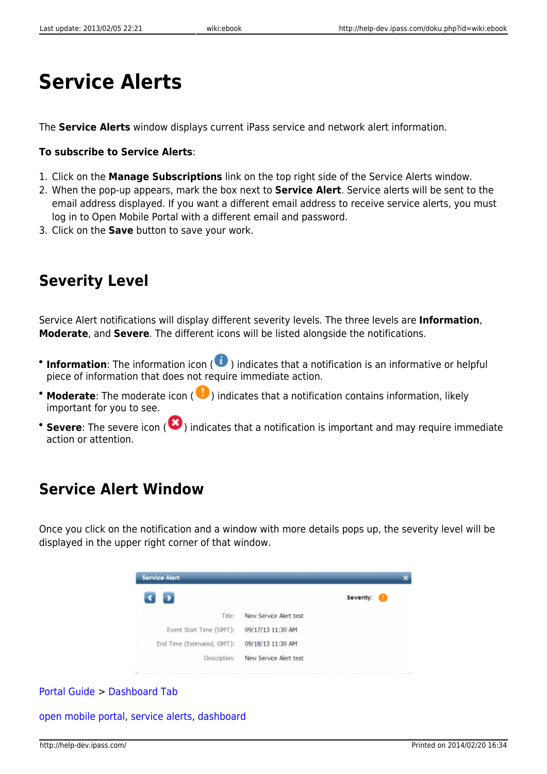# **Service Alerts**

The **Service Alerts** window displays current iPass service and network alert information.

### **To subscribe to Service Alerts**:

- 1. Click on the **Manage Subscriptions** link on the top right side of the Service Alerts window.
- 2. When the pop-up appears, mark the box next to **Service Alert**. Service alerts will be sent to the email address displayed. If you want a different email address to receive service alerts, you must log in to Open Mobile Portal with a different email and password.
- 3. Click on the **Save** button to save your work.

## **Severity Level**

Service Alert notifications will display different severity levels. The three levels are **Information**, **Moderate**, and **Severe**. The different icons will be listed alongside the notifications.

- **Information**: The information icon (  $\bullet$  ) indicates that a notification is an informative or helpful piece of information that does not require immediate action.
- **Moderate**: The moderate icon (  $\bullet$  ) indicates that a notification contains information, likely important for you to see.
- **Severe**: The severe icon (  $\bullet$  ) indicates that a notification is important and may require immediate action or attention.

## **Service Alert Window**

Once you click on the notification and a window with more details pops up, the severity level will be displayed in the upper right corner of that window.

| <b>Service Alert</b>       |                        |                |  |  |  |  |
|----------------------------|------------------------|----------------|--|--|--|--|
| $\rightarrow$<br>×.        |                        | Severity:<br>O |  |  |  |  |
| Title:                     | New Service Alert test |                |  |  |  |  |
| Event Start Time (GMT):    | 09/17/13 11:30 AM      |                |  |  |  |  |
| End Time (Estimated, GMT): | 09/18/13 11:30 AM      |                |  |  |  |  |
| Description:               | New Service Alert test |                |  |  |  |  |

### Portal Guide > Dashboard Tab

open mobile portal, service alerts, dashboard